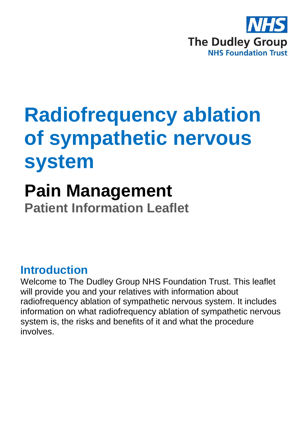

# **Radiofrequency ablation of sympathetic nervous system**

## **Pain Management**

**Patient Information Leaflet**

### **Introduction**

Welcome to The Dudley Group NHS Foundation Trust. This leaflet will provide you and your relatives with information about radiofrequency ablation of sympathetic nervous system. It includes information on what radiofrequency ablation of sympathetic nervous system is, the risks and benefits of it and what the procedure involves.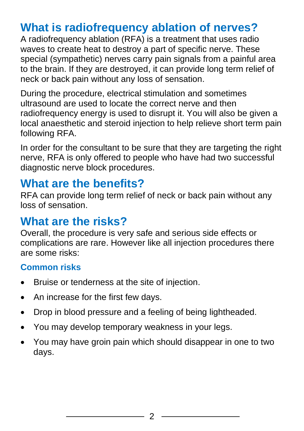### **What is radiofrequency ablation of nerves?**

A radiofrequency ablation (RFA) is a treatment that uses radio waves to create heat to destroy a part of specific nerve. These special (sympathetic) nerves carry pain signals from a painful area to the brain. If they are destroyed, it can provide long term relief of neck or back pain without any loss of sensation.

During the procedure, electrical stimulation and sometimes ultrasound are used to locate the correct nerve and then radiofrequency energy is used to disrupt it. You will also be given a local anaesthetic and steroid injection to help relieve short term pain following RFA.

In order for the consultant to be sure that they are targeting the right nerve, RFA is only offered to people who have had two successful diagnostic nerve block procedures.

### **What are the benefits?**

RFA can provide long term relief of neck or back pain without any loss of sensation.

### **What are the risks?**

Overall, the procedure is very safe and serious side effects or complications are rare. However like all injection procedures there are some risks:

### **Common risks**

- Bruise or tenderness at the site of injection.
- An increase for the first few days.
- Drop in blood pressure and a feeling of being lightheaded.
- You may develop temporary weakness in your legs.
- You may have groin pain which should disappear in one to two days.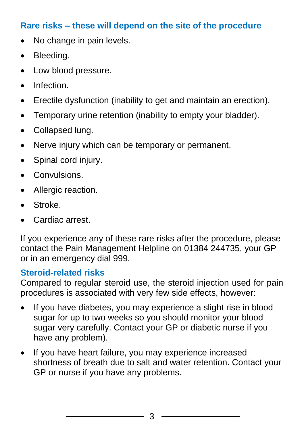### **Rare risks – these will depend on the site of the procedure**

- No change in pain levels.
- Bleeding.
- Low blood pressure.
- Infection.
- Erectile dysfunction (inability to get and maintain an erection).
- Temporary urine retention (inability to empty your bladder).
- Collapsed lung.
- Nerve injury which can be temporary or permanent.
- Spinal cord injury.
- Convulsions.
- Allergic reaction.
- Stroke.
- Cardiac arrest.

If you experience any of these rare risks after the procedure, please contact the Pain Management Helpline on 01384 244735, your GP or in an emergency dial 999.

#### **Steroid-related risks**

Compared to regular steroid use, the steroid injection used for pain procedures is associated with very few side effects, however:

- If you have diabetes, you may experience a slight rise in blood sugar for up to two weeks so you should monitor your blood sugar very carefully. Contact your GP or diabetic nurse if you have any problem).
- If you have heart failure, you may experience increased shortness of breath due to salt and water retention. Contact your GP or nurse if you have any problems.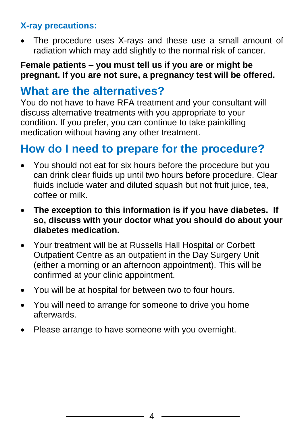### **X-ray precautions:**

The procedure uses X-rays and these use a small amount of radiation which may add slightly to the normal risk of cancer.

#### **Female patients – you must tell us if you are or might be pregnant. If you are not sure, a pregnancy test will be offered.**

### **What are the alternatives?**

You do not have to have RFA treatment and your consultant will discuss alternative treatments with you appropriate to your condition. If you prefer, you can continue to take painkilling medication without having any other treatment.

### **How do I need to prepare for the procedure?**

- You should not eat for six hours before the procedure but you can drink clear fluids up until two hours before procedure. Clear fluids include water and diluted squash but not fruit juice, tea, coffee or milk.
- **The exception to this information is if you have diabetes. If so, discuss with your doctor what you should do about your diabetes medication.**
- Your treatment will be at Russells Hall Hospital or Corbett Outpatient Centre as an outpatient in the Day Surgery Unit (either a morning or an afternoon appointment). This will be confirmed at your clinic appointment.
- You will be at hospital for between two to four hours.
- You will need to arrange for someone to drive you home afterwards.
- Please arrange to have someone with you overnight.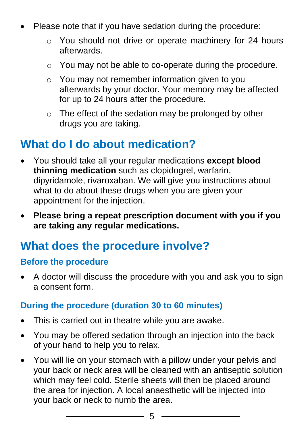- Please note that if you have sedation during the procedure:
	- o You should not drive or operate machinery for 24 hours afterwards.
	- o You may not be able to co-operate during the procedure.
	- o You may not remember information given to you afterwards by your doctor. Your memory may be affected for up to 24 hours after the procedure.
	- o The effect of the sedation may be prolonged by other drugs you are taking.

### **What do I do about medication?**

- You should take all your regular medications **except blood thinning medication** such as clopidogrel, warfarin, dipyridamole, rivaroxaban. We will give you instructions about what to do about these drugs when you are given your appointment for the injection.
- **Please bring a repeat prescription document with you if you are taking any regular medications.**

### **What does the procedure involve?**

#### **Before the procedure**

• A doctor will discuss the procedure with you and ask you to sign a consent form.

#### **During the procedure (duration 30 to 60 minutes)**

- This is carried out in theatre while you are awake.
- You may be offered sedation through an injection into the back of your hand to help you to relax.
- You will lie on your stomach with a pillow under your pelvis and your back or neck area will be cleaned with an antiseptic solution which may feel cold. Sterile sheets will then be placed around the area for injection. A local anaesthetic will be injected into your back or neck to numb the area.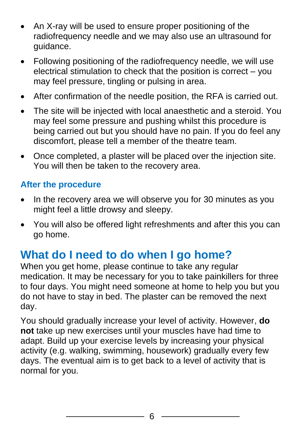- An X-ray will be used to ensure proper positioning of the radiofrequency needle and we may also use an ultrasound for guidance.
- Following positioning of the radiofrequency needle, we will use electrical stimulation to check that the position is correct – you may feel pressure, tingling or pulsing in area.
- After confirmation of the needle position, the RFA is carried out.
- The site will be injected with local anaesthetic and a steroid. You may feel some pressure and pushing whilst this procedure is being carried out but you should have no pain. If you do feel any discomfort, please tell a member of the theatre team.
- Once completed, a plaster will be placed over the injection site. You will then be taken to the recovery area.

#### **After the procedure**

- In the recovery area we will observe you for 30 minutes as you might feel a little drowsy and sleepy.
- You will also be offered light refreshments and after this you can go home.

### **What do I need to do when I go home?**

When you get home, please continue to take any regular medication. It may be necessary for you to take painkillers for three to four days. You might need someone at home to help you but you do not have to stay in bed. The plaster can be removed the next day.

You should gradually increase your level of activity. However, **do not** take up new exercises until your muscles have had time to adapt. Build up your exercise levels by increasing your physical activity (e.g. walking, swimming, housework) gradually every few days. The eventual aim is to get back to a level of activity that is normal for you.